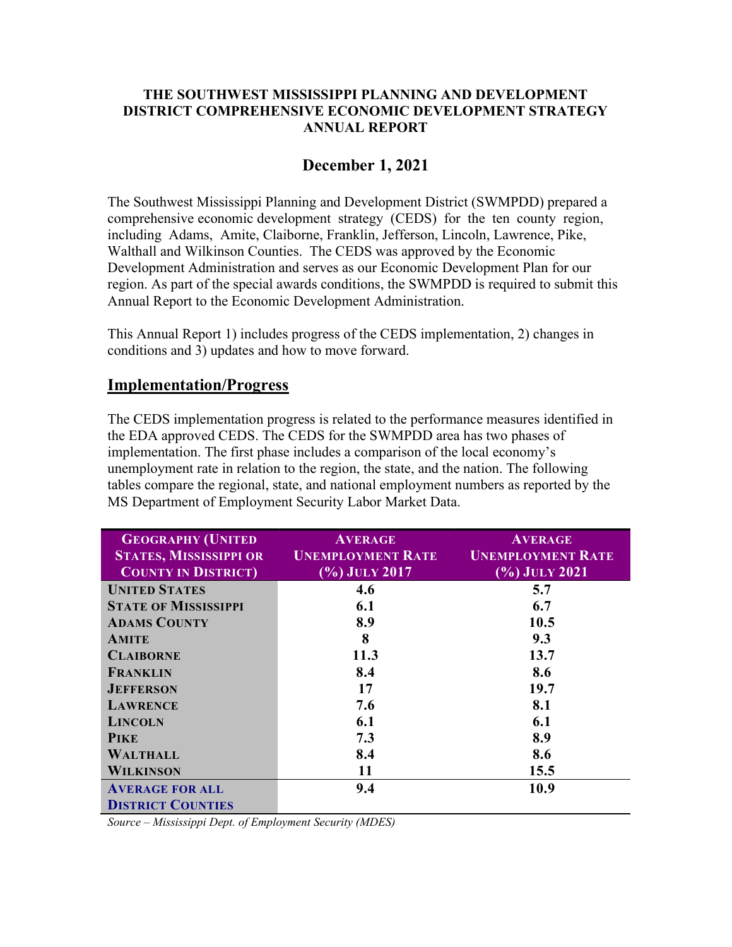#### THE SOUTHWEST MISSISSIPPI PLANNING AND DEVELOPMENT DISTRICT COMPREHENSIVE ECONOMIC DEVELOPMENT STRATEGY ANNUAL REPORT

# December 1, 2021

The Southwest Mississippi Planning and Development District (SWMPDD) prepared a comprehensive economic development strategy (CEDS) for the ten county region, including Adams, Amite, Claiborne, Franklin, Jefferson, Lincoln, Lawrence, Pike, Walthall and Wilkinson Counties. The CEDS was approved by the Economic Development Administration and serves as our Economic Development Plan for our region. As part of the special awards conditions, the SWMPDD is required to submit this Annual Report to the Economic Development Administration.

This Annual Report 1) includes progress of the CEDS implementation, 2) changes in conditions and 3) updates and how to move forward.

#### Implementation/Progress

The CEDS implementation progress is related to the performance measures identified in the EDA approved CEDS. The CEDS for the SWMPDD area has two phases of implementation. The first phase includes a comparison of the local economy's unemployment rate in relation to the region, the state, and the nation. The following tables compare the regional, state, and national employment numbers as reported by the MS Department of Employment Security Labor Market Data.

| <b>GEOGRAPHY (UNITED</b>      | <b>AVERAGE</b>                                       | <b>AVERAGE</b>                       |
|-------------------------------|------------------------------------------------------|--------------------------------------|
| <b>STATES, MISSISSIPPI OR</b> | <b>UNEMPLOYMENT RATE</b><br><b>UNEMPLOYMENT RATE</b> |                                      |
| <b>COUNTY IN DISTRICT</b>     | $\left(\frac{9}{6}\right)$ July 2017                 | $\left(\frac{9}{6}\right)$ July 2021 |
| <b>UNITED STATES</b>          | 4.6                                                  | 5.7                                  |
| <b>STATE OF MISSISSIPPI</b>   | 6.1                                                  | 6.7                                  |
| <b>ADAMS COUNTY</b>           | 8.9                                                  | 10.5                                 |
| <b>AMITE</b>                  | 8                                                    | 9.3                                  |
| <b>CLAIBORNE</b>              | 11.3                                                 | 13.7                                 |
| <b>FRANKLIN</b>               | 8.4                                                  | 8.6                                  |
| <b>JEFFERSON</b>              | 17                                                   | 19.7                                 |
| <b>LAWRENCE</b>               | 7.6                                                  | 8.1                                  |
| <b>LINCOLN</b>                | 6.1                                                  | 6.1                                  |
| <b>PIKE</b>                   | 7.3                                                  | 8.9                                  |
| <b>WALTHALL</b>               | 8.4                                                  | 8.6                                  |
| <b>WILKINSON</b>              | 11                                                   | 15.5                                 |
| <b>AVERAGE FOR ALL</b>        | 9.4                                                  | 10.9                                 |
| <b>DISTRICT COUNTIES</b>      |                                                      |                                      |

Source – Mississippi Dept. of Employment Security (MDES)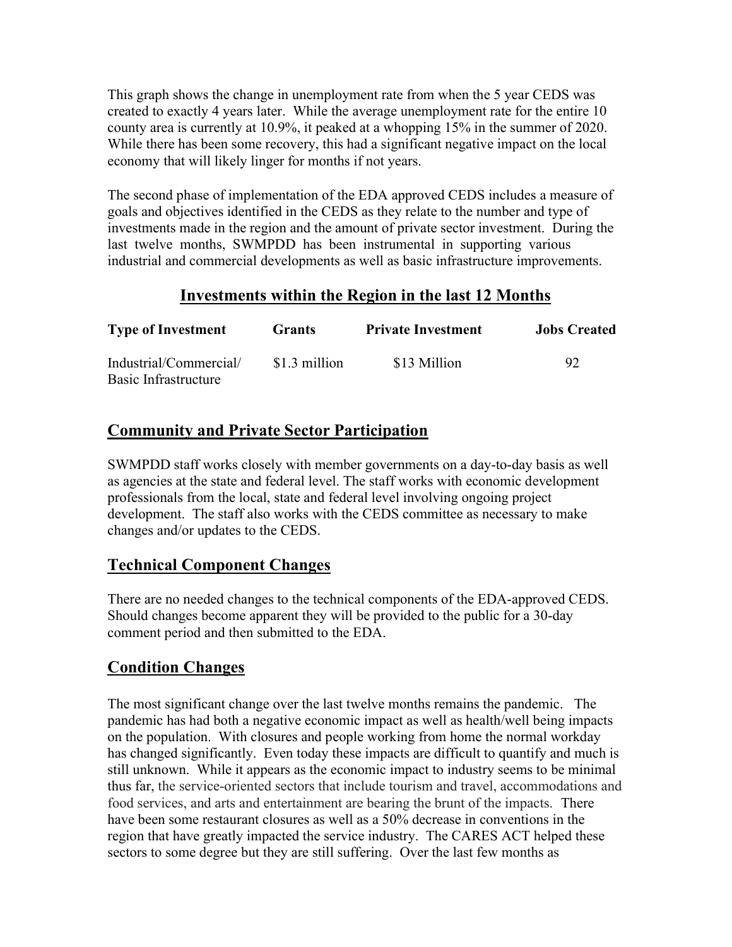This graph shows the change in unemployment rate from when the 5 year CEDS was created to exactly 4 years later. While the average unemployment rate for the entire 10 county area is currently at 10.9%, it peaked at a whopping 15% in the summer of 2020. While there has been some recovery, this had a significant negative impact on the local economy that will likely linger for months if not years.

The second phase of implementation of the EDA approved CEDS includes a measure of goals and objectives identified in the CEDS as they relate to the number and type of investments made in the region and the amount of private sector investment. During the last twelve months, SWMPDD has been instrumental in supporting various industrial and commercial developments as well as basic infrastructure improvements.

#### Investments within the Region in the last 12 Months

| <b>Type of Investment</b>                      | Grants        | <b>Private Investment</b> | <b>Jobs Created</b> |
|------------------------------------------------|---------------|---------------------------|---------------------|
| Industrial/Commercial/<br>Basic Infrastructure | \$1.3 million | \$13 Million              | 92                  |

# Community and Private Sector Participation

SWMPDD staff works closely with member governments on a day-to-day basis as well as agencies at the state and federal level. The staff works with economic development professionals from the local, state and federal level involving ongoing project development. The staff also works with the CEDS committee as necessary to make changes and/or updates to the CEDS.

# Technical Component Changes

There are no needed changes to the technical components of the EDA-approved CEDS. Should changes become apparent they will be provided to the public for a 30-day comment period and then submitted to the EDA.

# Condition Changes

The most significant change over the last twelve months remains the pandemic. The pandemic has had both a negative economic impact as well as health/well being impacts on the population. With closures and people working from home the normal workday has changed significantly. Even today these impacts are difficult to quantify and much is still unknown. While it appears as the economic impact to industry seems to be minimal thus far, the service-oriented sectors that include tourism and travel, accommodations and food services, and arts and entertainment are bearing the brunt of the impacts. There have been some restaurant closures as well as a 50% decrease in conventions in the region that have greatly impacted the service industry. The CARES ACT helped these sectors to some degree but they are still suffering. Over the last few months as